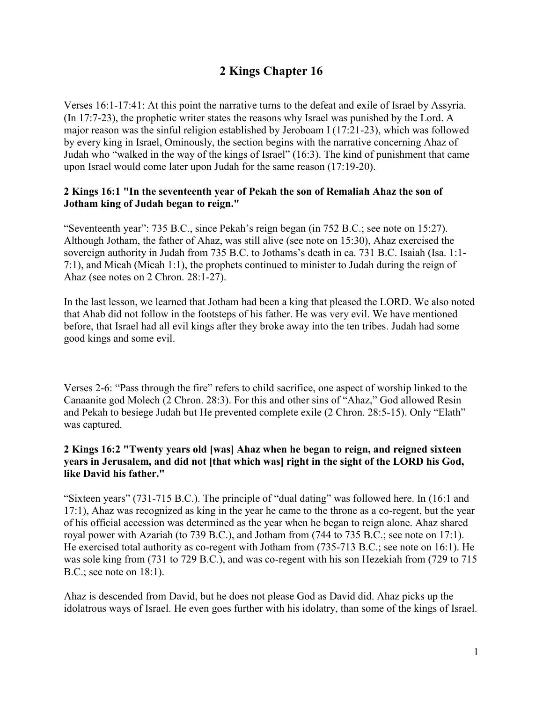# **2 Kings Chapter 16**

Verses 16:1-17:41: At this point the narrative turns to the defeat and exile of Israel by Assyria. (In 17:7-23), the prophetic writer states the reasons why Israel was punished by the Lord. A major reason was the sinful religion established by Jeroboam I (17:21-23), which was followed by every king in Israel, Ominously, the section begins with the narrative concerning Ahaz of Judah who "walked in the way of the kings of Israel" (16:3). The kind of punishment that came upon Israel would come later upon Judah for the same reason (17:19-20).

#### **2 Kings 16:1 "In the seventeenth year of Pekah the son of Remaliah Ahaz the son of Jotham king of Judah began to reign."**

"Seventeenth year": 735 B.C., since Pekah's reign began (in 752 B.C.; see note on 15:27). Although Jotham, the father of Ahaz, was still alive (see note on 15:30), Ahaz exercised the sovereign authority in Judah from 735 B.C. to Jothams's death in ca. 731 B.C. Isaiah (Isa. 1:1- 7:1), and Micah (Micah 1:1), the prophets continued to minister to Judah during the reign of Ahaz (see notes on 2 Chron. 28:1-27).

In the last lesson, we learned that Jotham had been a king that pleased the LORD. We also noted that Ahab did not follow in the footsteps of his father. He was very evil. We have mentioned before, that Israel had all evil kings after they broke away into the ten tribes. Judah had some good kings and some evil.

Verses 2-6: "Pass through the fire" refers to child sacrifice, one aspect of worship linked to the Canaanite god Molech (2 Chron. 28:3). For this and other sins of "Ahaz," God allowed Resin and Pekah to besiege Judah but He prevented complete exile (2 Chron. 28:5-15). Only "Elath" was captured.

#### **2 Kings 16:2 "Twenty years old [was] Ahaz when he began to reign, and reigned sixteen years in Jerusalem, and did not [that which was] right in the sight of the LORD his God, like David his father."**

"Sixteen years" (731-715 B.C.). The principle of "dual dating" was followed here. In (16:1 and 17:1), Ahaz was recognized as king in the year he came to the throne as a co-regent, but the year of his official accession was determined as the year when he began to reign alone. Ahaz shared royal power with Azariah (to 739 B.C.), and Jotham from (744 to 735 B.C.; see note on 17:1). He exercised total authority as co-regent with Jotham from (735-713 B.C.; see note on 16:1). He was sole king from (731 to 729 B.C.), and was co-regent with his son Hezekiah from (729 to 715 B.C.; see note on 18:1).

Ahaz is descended from David, but he does not please God as David did. Ahaz picks up the idolatrous ways of Israel. He even goes further with his idolatry, than some of the kings of Israel.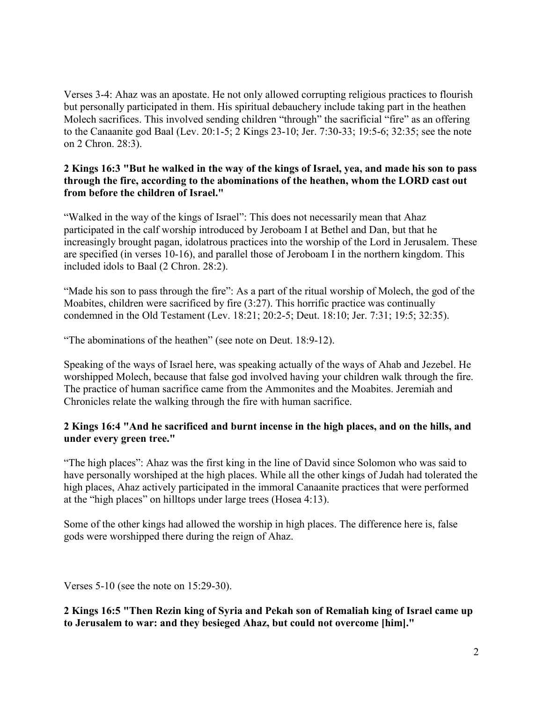Verses 3-4: Ahaz was an apostate. He not only allowed corrupting religious practices to flourish but personally participated in them. His spiritual debauchery include taking part in the heathen Molech sacrifices. This involved sending children "through" the sacrificial "fire" as an offering to the Canaanite god Baal (Lev. 20:1-5; 2 Kings 23-10; Jer. 7:30-33; 19:5-6; 32:35; see the note on 2 Chron. 28:3).

#### **2 Kings 16:3 "But he walked in the way of the kings of Israel, yea, and made his son to pass through the fire, according to the abominations of the heathen, whom the LORD cast out from before the children of Israel."**

"Walked in the way of the kings of Israel": This does not necessarily mean that Ahaz participated in the calf worship introduced by Jeroboam I at Bethel and Dan, but that he increasingly brought pagan, idolatrous practices into the worship of the Lord in Jerusalem. These are specified (in verses 10-16), and parallel those of Jeroboam I in the northern kingdom. This included idols to Baal (2 Chron. 28:2).

"Made his son to pass through the fire": As a part of the ritual worship of Molech, the god of the Moabites, children were sacrificed by fire (3:27). This horrific practice was continually condemned in the Old Testament (Lev. 18:21; 20:2-5; Deut. 18:10; Jer. 7:31; 19:5; 32:35).

"The abominations of the heathen" (see note on Deut. 18:9-12).

Speaking of the ways of Israel here, was speaking actually of the ways of Ahab and Jezebel. He worshipped Molech, because that false god involved having your children walk through the fire. The practice of human sacrifice came from the Ammonites and the Moabites. Jeremiah and Chronicles relate the walking through the fire with human sacrifice.

## **2 Kings 16:4 "And he sacrificed and burnt incense in the high places, and on the hills, and under every green tree."**

"The high places": Ahaz was the first king in the line of David since Solomon who was said to have personally worshiped at the high places. While all the other kings of Judah had tolerated the high places, Ahaz actively participated in the immoral Canaanite practices that were performed at the "high places" on hilltops under large trees (Hosea 4:13).

Some of the other kings had allowed the worship in high places. The difference here is, false gods were worshipped there during the reign of Ahaz.

Verses 5-10 (see the note on 15:29-30).

**2 Kings 16:5 "Then Rezin king of Syria and Pekah son of Remaliah king of Israel came up to Jerusalem to war: and they besieged Ahaz, but could not overcome [him]."**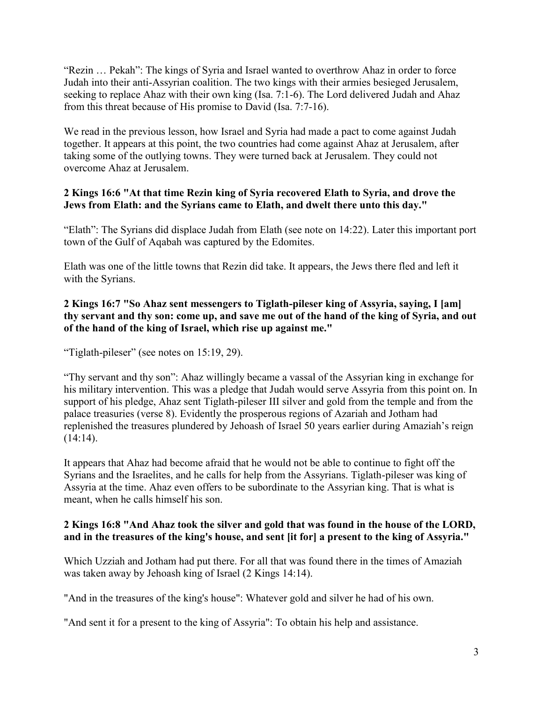"Rezin … Pekah": The kings of Syria and Israel wanted to overthrow Ahaz in order to force Judah into their anti-Assyrian coalition. The two kings with their armies besieged Jerusalem, seeking to replace Ahaz with their own king (Isa. 7:1-6). The Lord delivered Judah and Ahaz from this threat because of His promise to David (Isa. 7:7-16).

We read in the previous lesson, how Israel and Syria had made a pact to come against Judah together. It appears at this point, the two countries had come against Ahaz at Jerusalem, after taking some of the outlying towns. They were turned back at Jerusalem. They could not overcome Ahaz at Jerusalem.

## **2 Kings 16:6 "At that time Rezin king of Syria recovered Elath to Syria, and drove the Jews from Elath: and the Syrians came to Elath, and dwelt there unto this day."**

"Elath": The Syrians did displace Judah from Elath (see note on 14:22). Later this important port town of the Gulf of Aqabah was captured by the Edomites.

Elath was one of the little towns that Rezin did take. It appears, the Jews there fled and left it with the Syrians.

## **2 Kings 16:7 "So Ahaz sent messengers to Tiglath-pileser king of Assyria, saying, I [am] thy servant and thy son: come up, and save me out of the hand of the king of Syria, and out of the hand of the king of Israel, which rise up against me."**

"Tiglath-pileser" (see notes on 15:19, 29).

"Thy servant and thy son": Ahaz willingly became a vassal of the Assyrian king in exchange for his military intervention. This was a pledge that Judah would serve Assyria from this point on. In support of his pledge, Ahaz sent Tiglath-pileser III silver and gold from the temple and from the palace treasuries (verse 8). Evidently the prosperous regions of Azariah and Jotham had replenished the treasures plundered by Jehoash of Israel 50 years earlier during Amaziah's reign  $(14:14)$ .

It appears that Ahaz had become afraid that he would not be able to continue to fight off the Syrians and the Israelites, and he calls for help from the Assyrians. Tiglath-pileser was king of Assyria at the time. Ahaz even offers to be subordinate to the Assyrian king. That is what is meant, when he calls himself his son.

## **2 Kings 16:8 "And Ahaz took the silver and gold that was found in the house of the LORD, and in the treasures of the king's house, and sent [it for] a present to the king of Assyria."**

Which Uzziah and Jotham had put there. For all that was found there in the times of Amaziah was taken away by Jehoash king of Israel (2 Kings 14:14).

"And in the treasures of the king's house": Whatever gold and silver he had of his own.

"And sent it for a present to the king of Assyria": To obtain his help and assistance.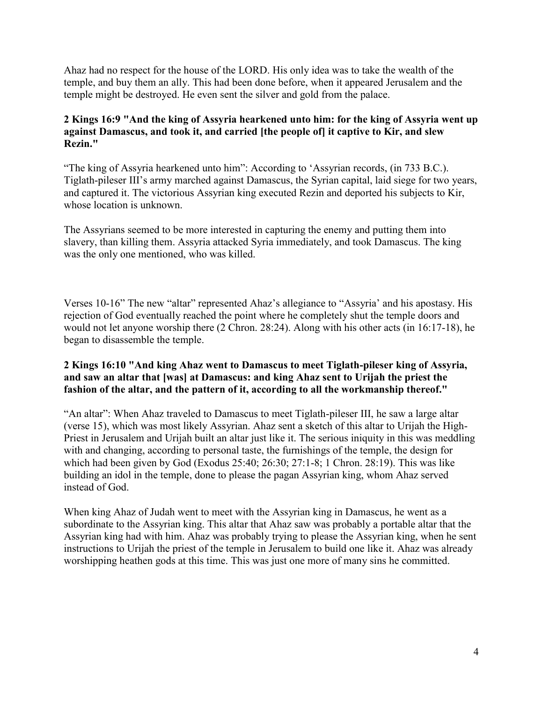Ahaz had no respect for the house of the LORD. His only idea was to take the wealth of the temple, and buy them an ally. This had been done before, when it appeared Jerusalem and the temple might be destroyed. He even sent the silver and gold from the palace.

## **2 Kings 16:9 "And the king of Assyria hearkened unto him: for the king of Assyria went up against Damascus, and took it, and carried [the people of] it captive to Kir, and slew Rezin."**

"The king of Assyria hearkened unto him": According to 'Assyrian records, (in 733 B.C.). Tiglath-pileser III's army marched against Damascus, the Syrian capital, laid siege for two years, and captured it. The victorious Assyrian king executed Rezin and deported his subjects to Kir, whose location is unknown.

The Assyrians seemed to be more interested in capturing the enemy and putting them into slavery, than killing them. Assyria attacked Syria immediately, and took Damascus. The king was the only one mentioned, who was killed.

Verses 10-16" The new "altar" represented Ahaz's allegiance to "Assyria' and his apostasy. His rejection of God eventually reached the point where he completely shut the temple doors and would not let anyone worship there (2 Chron. 28:24). Along with his other acts (in 16:17-18), he began to disassemble the temple.

## **2 Kings 16:10 "And king Ahaz went to Damascus to meet Tiglath-pileser king of Assyria, and saw an altar that [was] at Damascus: and king Ahaz sent to Urijah the priest the fashion of the altar, and the pattern of it, according to all the workmanship thereof."**

"An altar": When Ahaz traveled to Damascus to meet Tiglath-pileser III, he saw a large altar (verse 15), which was most likely Assyrian. Ahaz sent a sketch of this altar to Urijah the High-Priest in Jerusalem and Urijah built an altar just like it. The serious iniquity in this was meddling with and changing, according to personal taste, the furnishings of the temple, the design for which had been given by God (Exodus 25:40; 26:30; 27:1-8; 1 Chron. 28:19). This was like building an idol in the temple, done to please the pagan Assyrian king, whom Ahaz served instead of God.

When king Ahaz of Judah went to meet with the Assyrian king in Damascus, he went as a subordinate to the Assyrian king. This altar that Ahaz saw was probably a portable altar that the Assyrian king had with him. Ahaz was probably trying to please the Assyrian king, when he sent instructions to Urijah the priest of the temple in Jerusalem to build one like it. Ahaz was already worshipping heathen gods at this time. This was just one more of many sins he committed.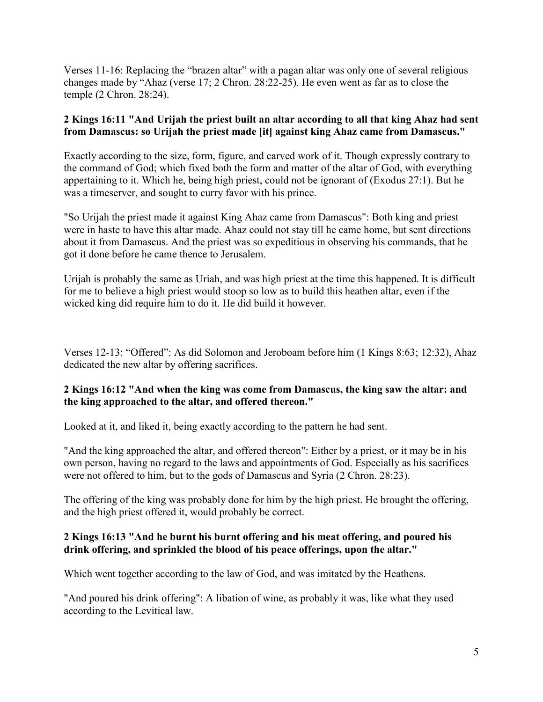Verses 11-16: Replacing the "brazen altar" with a pagan altar was only one of several religious changes made by "Ahaz (verse 17; 2 Chron. 28:22-25). He even went as far as to close the temple (2 Chron. 28:24).

## **2 Kings 16:11 "And Urijah the priest built an altar according to all that king Ahaz had sent from Damascus: so Urijah the priest made [it] against king Ahaz came from Damascus."**

Exactly according to the size, form, figure, and carved work of it. Though expressly contrary to the command of God; which fixed both the form and matter of the altar of God, with everything appertaining to it. Which he, being high priest, could not be ignorant of (Exodus 27:1). But he was a timeserver, and sought to curry favor with his prince.

"So Urijah the priest made it against King Ahaz came from Damascus": Both king and priest were in haste to have this altar made. Ahaz could not stay till he came home, but sent directions about it from Damascus. And the priest was so expeditious in observing his commands, that he got it done before he came thence to Jerusalem.

Urijah is probably the same as Uriah, and was high priest at the time this happened. It is difficult for me to believe a high priest would stoop so low as to build this heathen altar, even if the wicked king did require him to do it. He did build it however.

Verses 12-13: "Offered": As did Solomon and Jeroboam before him (1 Kings 8:63; 12:32), Ahaz dedicated the new altar by offering sacrifices.

# **2 Kings 16:12 "And when the king was come from Damascus, the king saw the altar: and the king approached to the altar, and offered thereon."**

Looked at it, and liked it, being exactly according to the pattern he had sent.

"And the king approached the altar, and offered thereon": Either by a priest, or it may be in his own person, having no regard to the laws and appointments of God. Especially as his sacrifices were not offered to him, but to the gods of Damascus and Syria (2 Chron. 28:23).

The offering of the king was probably done for him by the high priest. He brought the offering, and the high priest offered it, would probably be correct.

## **2 Kings 16:13 "And he burnt his burnt offering and his meat offering, and poured his drink offering, and sprinkled the blood of his peace offerings, upon the altar."**

Which went together according to the law of God, and was imitated by the Heathens.

"And poured his drink offering": A libation of wine, as probably it was, like what they used according to the Levitical law.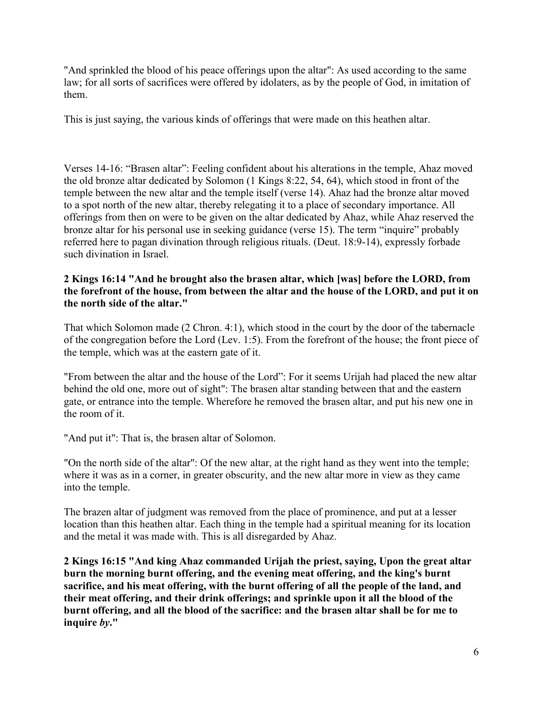"And sprinkled the blood of his peace offerings upon the altar": As used according to the same law; for all sorts of sacrifices were offered by idolaters, as by the people of God, in imitation of them.

This is just saying, the various kinds of offerings that were made on this heathen altar.

Verses 14-16: "Brasen altar": Feeling confident about his alterations in the temple, Ahaz moved the old bronze altar dedicated by Solomon (1 Kings 8:22, 54, 64), which stood in front of the temple between the new altar and the temple itself (verse 14). Ahaz had the bronze altar moved to a spot north of the new altar, thereby relegating it to a place of secondary importance. All offerings from then on were to be given on the altar dedicated by Ahaz, while Ahaz reserved the bronze altar for his personal use in seeking guidance (verse 15). The term "inquire" probably referred here to pagan divination through religious rituals. (Deut. 18:9-14), expressly forbade such divination in Israel.

## **2 Kings 16:14 "And he brought also the brasen altar, which [was] before the LORD, from the forefront of the house, from between the altar and the house of the LORD, and put it on the north side of the altar."**

That which Solomon made (2 Chron. 4:1), which stood in the court by the door of the tabernacle of the congregation before the Lord (Lev. 1:5). From the forefront of the house; the front piece of the temple, which was at the eastern gate of it.

"From between the altar and the house of the Lord": For it seems Urijah had placed the new altar behind the old one, more out of sight": The brasen altar standing between that and the eastern gate, or entrance into the temple. Wherefore he removed the brasen altar, and put his new one in the room of it.

"And put it": That is, the brasen altar of Solomon.

"On the north side of the altar": Of the new altar, at the right hand as they went into the temple; where it was as in a corner, in greater obscurity, and the new altar more in view as they came into the temple.

The brazen altar of judgment was removed from the place of prominence, and put at a lesser location than this heathen altar. Each thing in the temple had a spiritual meaning for its location and the metal it was made with. This is all disregarded by Ahaz.

**2 Kings 16:15 "And king Ahaz commanded Urijah the priest, saying, Upon the great altar burn the morning burnt offering, and the evening meat offering, and the king's burnt sacrifice, and his meat offering, with the burnt offering of all the people of the land, and their meat offering, and their drink offerings; and sprinkle upon it all the blood of the burnt offering, and all the blood of the sacrifice: and the brasen altar shall be for me to inquire** *by***."**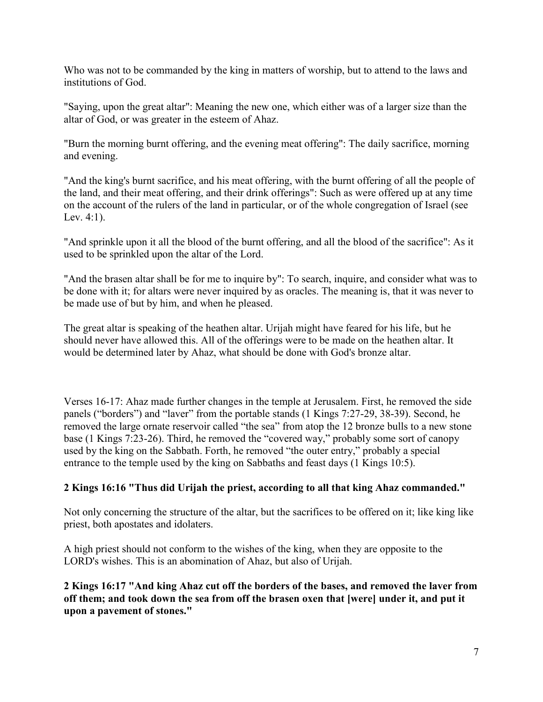Who was not to be commanded by the king in matters of worship, but to attend to the laws and institutions of God.

"Saying, upon the great altar": Meaning the new one, which either was of a larger size than the altar of God, or was greater in the esteem of Ahaz.

"Burn the morning burnt offering, and the evening meat offering": The daily sacrifice, morning and evening.

"And the king's burnt sacrifice, and his meat offering, with the burnt offering of all the people of the land, and their meat offering, and their drink offerings": Such as were offered up at any time on the account of the rulers of the land in particular, or of the whole congregation of Israel (see Lev. 4:1).

"And sprinkle upon it all the blood of the burnt offering, and all the blood of the sacrifice": As it used to be sprinkled upon the altar of the Lord.

"And the brasen altar shall be for me to inquire by": To search, inquire, and consider what was to be done with it; for altars were never inquired by as oracles. The meaning is, that it was never to be made use of but by him, and when he pleased.

The great altar is speaking of the heathen altar. Urijah might have feared for his life, but he should never have allowed this. All of the offerings were to be made on the heathen altar. It would be determined later by Ahaz, what should be done with God's bronze altar.

Verses 16-17: Ahaz made further changes in the temple at Jerusalem. First, he removed the side panels ("borders") and "laver" from the portable stands (1 Kings 7:27-29, 38-39). Second, he removed the large ornate reservoir called "the sea" from atop the 12 bronze bulls to a new stone base (1 Kings 7:23-26). Third, he removed the "covered way," probably some sort of canopy used by the king on the Sabbath. Forth, he removed "the outer entry," probably a special entrance to the temple used by the king on Sabbaths and feast days (1 Kings 10:5).

# **2 Kings 16:16 "Thus did Urijah the priest, according to all that king Ahaz commanded."**

Not only concerning the structure of the altar, but the sacrifices to be offered on it; like king like priest, both apostates and idolaters.

A high priest should not conform to the wishes of the king, when they are opposite to the LORD's wishes. This is an abomination of Ahaz, but also of Urijah.

**2 Kings 16:17 "And king Ahaz cut off the borders of the bases, and removed the laver from off them; and took down the sea from off the brasen oxen that [were] under it, and put it upon a pavement of stones."**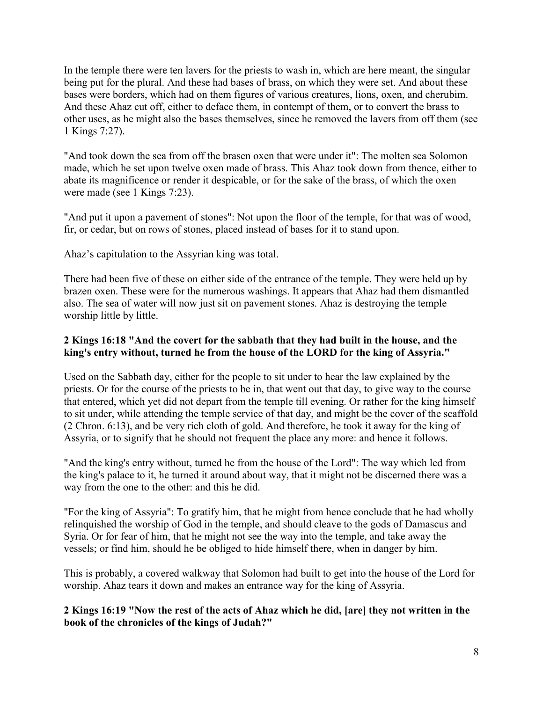In the temple there were ten lavers for the priests to wash in, which are here meant, the singular being put for the plural. And these had bases of brass, on which they were set. And about these bases were borders, which had on them figures of various creatures, lions, oxen, and cherubim. And these Ahaz cut off, either to deface them, in contempt of them, or to convert the brass to other uses, as he might also the bases themselves, since he removed the lavers from off them (see 1 Kings 7:27).

"And took down the sea from off the brasen oxen that were under it": The molten sea Solomon made, which he set upon twelve oxen made of brass. This Ahaz took down from thence, either to abate its magnificence or render it despicable, or for the sake of the brass, of which the oxen were made (see 1 Kings 7:23).

"And put it upon a pavement of stones": Not upon the floor of the temple, for that was of wood, fir, or cedar, but on rows of stones, placed instead of bases for it to stand upon.

Ahaz's capitulation to the Assyrian king was total.

There had been five of these on either side of the entrance of the temple. They were held up by brazen oxen. These were for the numerous washings. It appears that Ahaz had them dismantled also. The sea of water will now just sit on pavement stones. Ahaz is destroying the temple worship little by little.

#### **2 Kings 16:18 "And the covert for the sabbath that they had built in the house, and the king's entry without, turned he from the house of the LORD for the king of Assyria."**

Used on the Sabbath day, either for the people to sit under to hear the law explained by the priests. Or for the course of the priests to be in, that went out that day, to give way to the course that entered, which yet did not depart from the temple till evening. Or rather for the king himself to sit under, while attending the temple service of that day, and might be the cover of the scaffold (2 Chron. 6:13), and be very rich cloth of gold. And therefore, he took it away for the king of Assyria, or to signify that he should not frequent the place any more: and hence it follows.

"And the king's entry without, turned he from the house of the Lord": The way which led from the king's palace to it, he turned it around about way, that it might not be discerned there was a way from the one to the other: and this he did.

"For the king of Assyria": To gratify him, that he might from hence conclude that he had wholly relinquished the worship of God in the temple, and should cleave to the gods of Damascus and Syria. Or for fear of him, that he might not see the way into the temple, and take away the vessels; or find him, should he be obliged to hide himself there, when in danger by him.

This is probably, a covered walkway that Solomon had built to get into the house of the Lord for worship. Ahaz tears it down and makes an entrance way for the king of Assyria.

**2 Kings 16:19 "Now the rest of the acts of Ahaz which he did, [are] they not written in the book of the chronicles of the kings of Judah?"**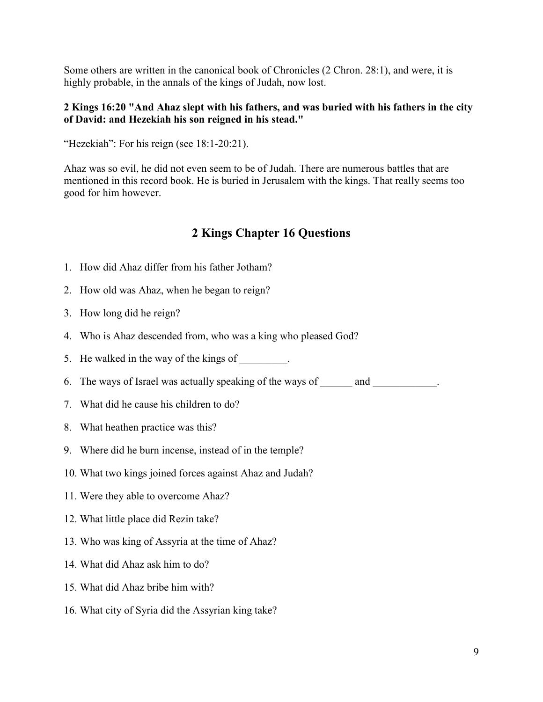Some others are written in the canonical book of Chronicles (2 Chron. 28:1), and were, it is highly probable, in the annals of the kings of Judah, now lost.

#### **2 Kings 16:20 "And Ahaz slept with his fathers, and was buried with his fathers in the city of David: and Hezekiah his son reigned in his stead."**

"Hezekiah": For his reign (see 18:1-20:21).

Ahaz was so evil, he did not even seem to be of Judah. There are numerous battles that are mentioned in this record book. He is buried in Jerusalem with the kings. That really seems too good for him however.

# **2 Kings Chapter 16 Questions**

- 1. How did Ahaz differ from his father Jotham?
- 2. How old was Ahaz, when he began to reign?
- 3. How long did he reign?
- 4. Who is Ahaz descended from, who was a king who pleased God?
- 5. He walked in the way of the kings of
- 6. The ways of Israel was actually speaking of the ways of and  $\Box$
- 7. What did he cause his children to do?
- 8. What heathen practice was this?
- 9. Where did he burn incense, instead of in the temple?
- 10. What two kings joined forces against Ahaz and Judah?
- 11. Were they able to overcome Ahaz?
- 12. What little place did Rezin take?
- 13. Who was king of Assyria at the time of Ahaz?
- 14. What did Ahaz ask him to do?
- 15. What did Ahaz bribe him with?
- 16. What city of Syria did the Assyrian king take?